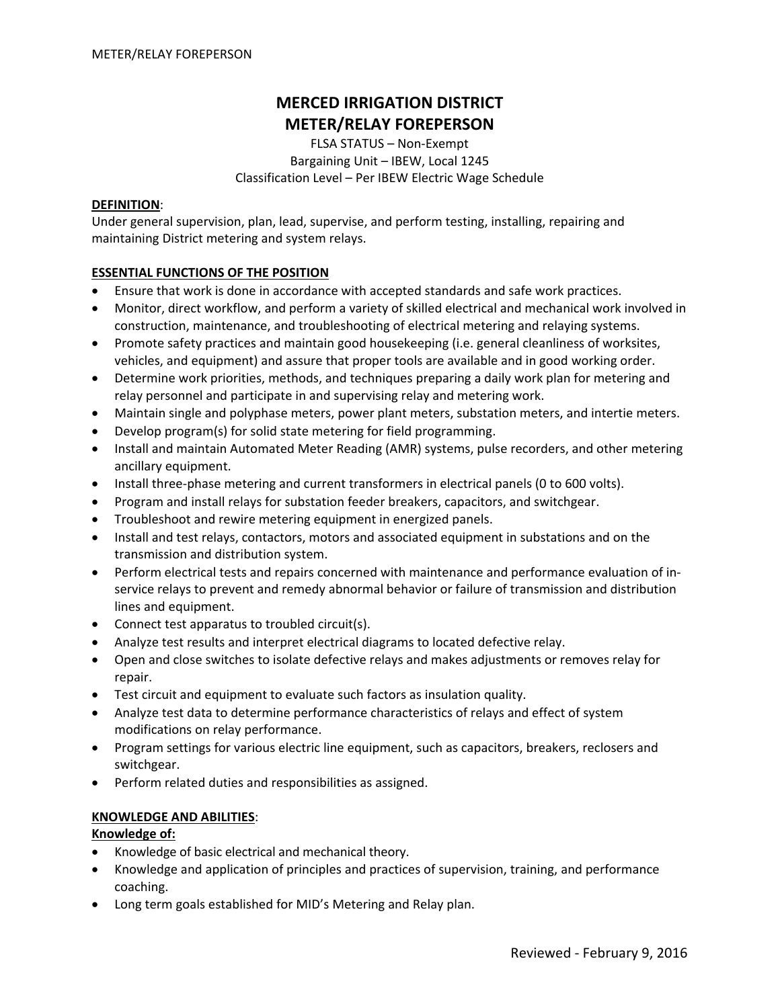# **MERCED IRRIGATION DISTRICT METER/RELAY FOREPERSON**

FLSA STATUS – Non‐Exempt Bargaining Unit – IBEW, Local 1245 Classification Level – Per IBEW Electric Wage Schedule

#### **DEFINITION**:

Under general supervision, plan, lead, supervise, and perform testing, installing, repairing and maintaining District metering and system relays.

## **ESSENTIAL FUNCTIONS OF THE POSITION**

- Ensure that work is done in accordance with accepted standards and safe work practices.
- Monitor, direct workflow, and perform a variety of skilled electrical and mechanical work involved in construction, maintenance, and troubleshooting of electrical metering and relaying systems.
- Promote safety practices and maintain good housekeeping (i.e. general cleanliness of worksites, vehicles, and equipment) and assure that proper tools are available and in good working order.
- Determine work priorities, methods, and techniques preparing a daily work plan for metering and relay personnel and participate in and supervising relay and metering work.
- Maintain single and polyphase meters, power plant meters, substation meters, and intertie meters.
- Develop program(s) for solid state metering for field programming.
- Install and maintain Automated Meter Reading (AMR) systems, pulse recorders, and other metering ancillary equipment.
- Install three-phase metering and current transformers in electrical panels (0 to 600 volts).
- Program and install relays for substation feeder breakers, capacitors, and switchgear.
- Troubleshoot and rewire metering equipment in energized panels.
- Install and test relays, contactors, motors and associated equipment in substations and on the transmission and distribution system.
- Perform electrical tests and repairs concerned with maintenance and performance evaluation of inservice relays to prevent and remedy abnormal behavior or failure of transmission and distribution lines and equipment.
- Connect test apparatus to troubled circuit(s).
- Analyze test results and interpret electrical diagrams to located defective relay.
- Open and close switches to isolate defective relays and makes adjustments or removes relay for repair.
- Test circuit and equipment to evaluate such factors as insulation quality.
- Analyze test data to determine performance characteristics of relays and effect of system modifications on relay performance.
- Program settings for various electric line equipment, such as capacitors, breakers, reclosers and switchgear.
- Perform related duties and responsibilities as assigned.

#### **KNOWLEDGE AND ABILITIES**:

#### **Knowledge of:**

- Knowledge of basic electrical and mechanical theory.
- Knowledge and application of principles and practices of supervision, training, and performance coaching.
- Long term goals established for MID's Metering and Relay plan.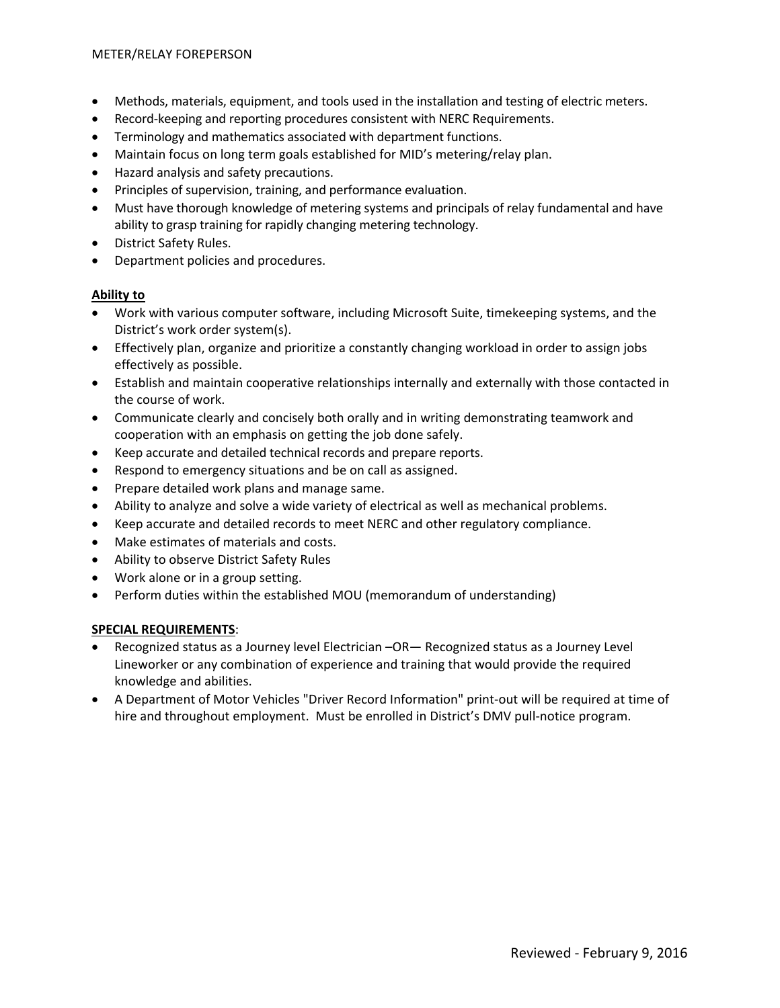- Methods, materials, equipment, and tools used in the installation and testing of electric meters.
- Record‐keeping and reporting procedures consistent with NERC Requirements.
- Terminology and mathematics associated with department functions.
- Maintain focus on long term goals established for MID's metering/relay plan.
- Hazard analysis and safety precautions.
- Principles of supervision, training, and performance evaluation.
- Must have thorough knowledge of metering systems and principals of relay fundamental and have ability to grasp training for rapidly changing metering technology.
- District Safety Rules.
- Department policies and procedures.

# **Ability to**

- Work with various computer software, including Microsoft Suite, timekeeping systems, and the District's work order system(s).
- Effectively plan, organize and prioritize a constantly changing workload in order to assign jobs effectively as possible.
- Establish and maintain cooperative relationships internally and externally with those contacted in the course of work.
- Communicate clearly and concisely both orally and in writing demonstrating teamwork and cooperation with an emphasis on getting the job done safely.
- Keep accurate and detailed technical records and prepare reports.
- Respond to emergency situations and be on call as assigned.
- Prepare detailed work plans and manage same.
- Ability to analyze and solve a wide variety of electrical as well as mechanical problems.
- Keep accurate and detailed records to meet NERC and other regulatory compliance.
- Make estimates of materials and costs.
- Ability to observe District Safety Rules
- Work alone or in a group setting.
- Perform duties within the established MOU (memorandum of understanding)

# **SPECIAL REQUIREMENTS**:

- Recognized status as a Journey level Electrician –OR— Recognized status as a Journey Level Lineworker or any combination of experience and training that would provide the required knowledge and abilities.
- A Department of Motor Vehicles "Driver Record Information" print‐out will be required at time of hire and throughout employment. Must be enrolled in District's DMV pull-notice program.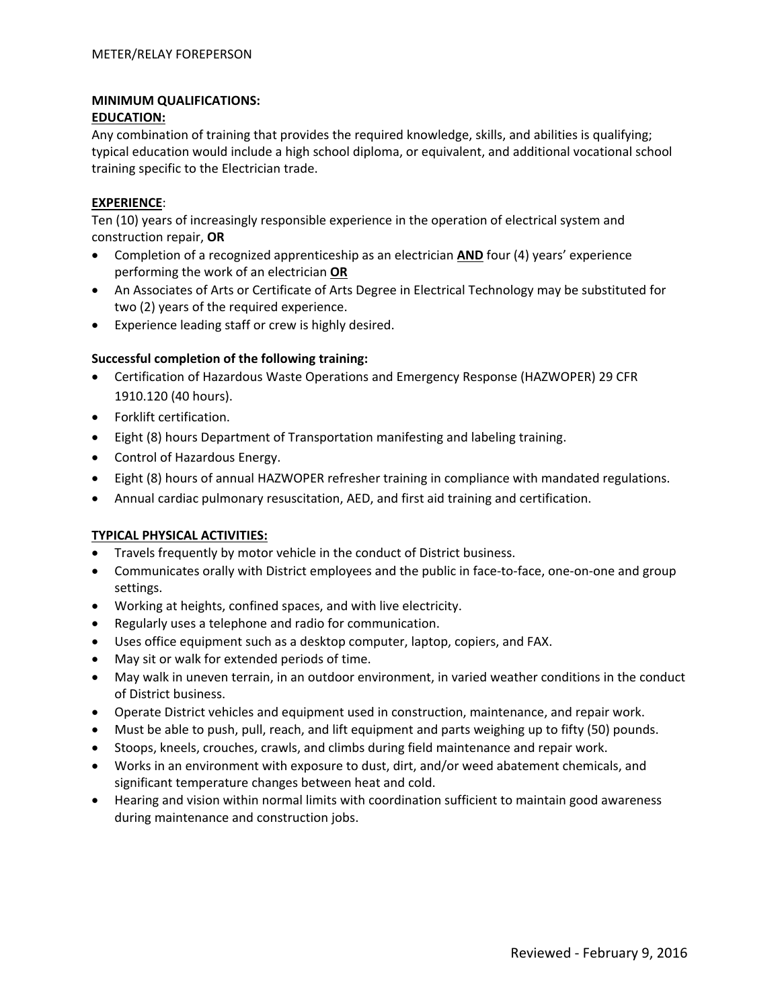# **MINIMUM QUALIFICATIONS:**

# **EDUCATION:**

Any combination of training that provides the required knowledge, skills, and abilities is qualifying; typical education would include a high school diploma, or equivalent, and additional vocational school training specific to the Electrician trade.

# **EXPERIENCE**:

Ten (10) years of increasingly responsible experience in the operation of electrical system and construction repair, **OR**

- Completion of a recognized apprenticeship as an electrician **AND** four (4) years' experience performing the work of an electrician **OR**
- An Associates of Arts or Certificate of Arts Degree in Electrical Technology may be substituted for two (2) years of the required experience.
- Experience leading staff or crew is highly desired.

# **Successful completion of the following training:**

- Certification of Hazardous Waste Operations and Emergency Response (HAZWOPER) 29 CFR 1910.120 (40 hours).
- Forklift certification.
- Eight (8) hours Department of Transportation manifesting and labeling training.
- Control of Hazardous Energy.
- Eight (8) hours of annual HAZWOPER refresher training in compliance with mandated regulations.
- Annual cardiac pulmonary resuscitation, AED, and first aid training and certification.

# **TYPICAL PHYSICAL ACTIVITIES:**

- Travels frequently by motor vehicle in the conduct of District business.
- Communicates orally with District employees and the public in face-to-face, one-on-one and group settings.
- Working at heights, confined spaces, and with live electricity.
- Regularly uses a telephone and radio for communication.
- Uses office equipment such as a desktop computer, laptop, copiers, and FAX.
- May sit or walk for extended periods of time.
- May walk in uneven terrain, in an outdoor environment, in varied weather conditions in the conduct of District business.
- Operate District vehicles and equipment used in construction, maintenance, and repair work.
- Must be able to push, pull, reach, and lift equipment and parts weighing up to fifty (50) pounds.
- Stoops, kneels, crouches, crawls, and climbs during field maintenance and repair work.
- Works in an environment with exposure to dust, dirt, and/or weed abatement chemicals, and significant temperature changes between heat and cold.
- Hearing and vision within normal limits with coordination sufficient to maintain good awareness during maintenance and construction jobs.